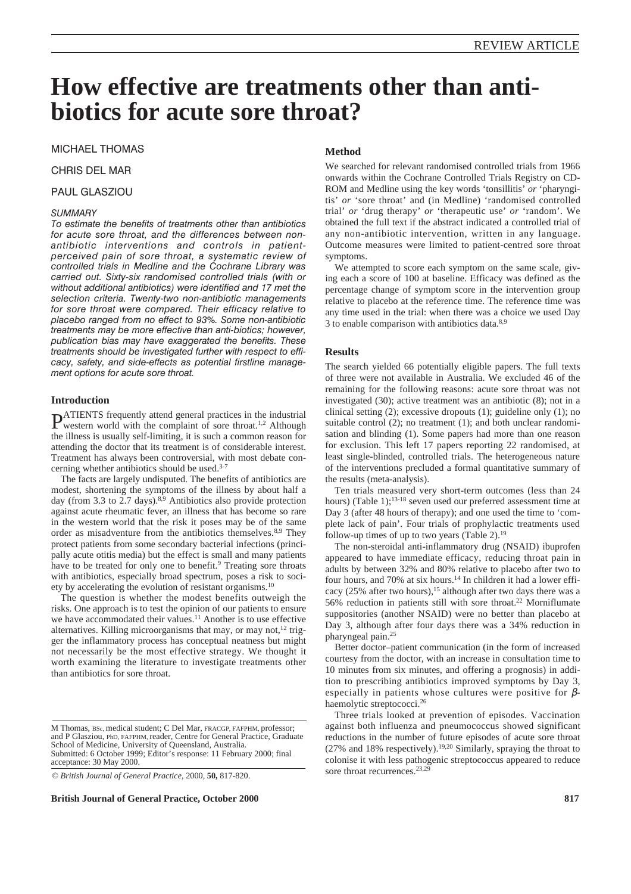# **How effective are treatments other than antibiotics for acute sore throat?**

MICHAEL THOMAS

# CHRIS DEL MAR

## PAUL GLASZIOU

## *SUMMARY*

*To estimate the benefits of treatments other than antibiotics for acute sore throat, and the differences between nonantibiotic interventions and controls in patientperceived pain of sore throat, a systematic review of controlled trials in Medline and the Cochrane Library was carried out. Sixty-six randomised controlled trials (with or without additional antibiotics) were identified and 17 met the selection criteria. Twenty-two non-antibiotic managements for sore throat were compared. Their efficacy relative to placebo ranged from no effect to 93%. Some non-antibiotic treatments may be more effective than anti-biotics; however, publication bias may have exaggerated the benefits. These treatments should be investigated further with respect to efficacy, safety, and side-effects as potential firstline management options for acute sore throat.*

## **Introduction**

**PATIENTS** frequently attend general practices in the industrial western world with the complaint of sore throat.<sup>1,2</sup> Although the illness is usually self-limiting, it is such a common reason for attending the doctor that its treatment is of considerable interest. Treatment has always been controversial, with most debate concerning whether antibiotics should be used.3-7

The facts are largely undisputed. The benefits of antibiotics are modest, shortening the symptoms of the illness by about half a day (from 3.3 to 2.7 days).<sup>8,9</sup> Antibiotics also provide protection against acute rheumatic fever, an illness that has become so rare in the western world that the risk it poses may be of the same order as misadventure from the antibiotics themselves.<sup>8,9</sup> They protect patients from some secondary bacterial infections (principally acute otitis media) but the effect is small and many patients have to be treated for only one to benefit.<sup>9</sup> Treating sore throats with antibiotics, especially broad spectrum, poses a risk to society by accelerating the evolution of resistant organisms.10

The question is whether the modest benefits outweigh the risks. One approach is to test the opinion of our patients to ensure we have accommodated their values.<sup>11</sup> Another is to use effective alternatives. Killing microorganisms that may, or may not,<sup>12</sup> trigger the inflammatory process has conceptual neatness but might not necessarily be the most effective strategy. We thought it worth examining the literature to investigate treatments other than antibiotics for sore throat.

**British Journal of General Practice, October 2000 817**

#### **Method**

We searched for relevant randomised controlled trials from 1966 onwards within the Cochrane Controlled Trials Registry on CD-ROM and Medline using the key words 'tonsillitis' *or* 'pharyngitis' *or* 'sore throat' and (in Medline) 'randomised controlled trial' *or* 'drug therapy' *or* 'therapeutic use' *or* 'random'. We obtained the full text if the abstract indicated a controlled trial of any non-antibiotic intervention, written in any language. Outcome measures were limited to patient-centred sore throat symptoms.

We attempted to score each symptom on the same scale, giving each a score of 100 at baseline. Efficacy was defined as the percentage change of symptom score in the intervention group relative to placebo at the reference time. The reference time was any time used in the trial: when there was a choice we used Day 3 to enable comparison with antibiotics data.8,9

## **Results**

The search yielded 66 potentially eligible papers. The full texts of three were not available in Australia. We excluded 46 of the remaining for the following reasons: acute sore throat was not investigated (30); active treatment was an antibiotic (8); not in a clinical setting (2); excessive dropouts (1); guideline only (1); no suitable control (2); no treatment (1); and both unclear randomisation and blinding (1). Some papers had more than one reason for exclusion. This left 17 papers reporting 22 randomised, at least single-blinded, controlled trials. The heterogeneous nature of the interventions precluded a formal quantitative summary of the results (meta-analysis).

Ten trials measured very short-term outcomes (less than 24 hours) (Table 1);<sup>13-18</sup> seven used our preferred assessment time at Day 3 (after 48 hours of therapy); and one used the time to 'complete lack of pain'. Four trials of prophylactic treatments used follow-up times of up to two years (Table 2).19

The non-steroidal anti-inflammatory drug (NSAID) ibuprofen appeared to have immediate efficacy, reducing throat pain in adults by between 32% and 80% relative to placebo after two to four hours, and 70% at six hours.<sup>14</sup> In children it had a lower efficacy (25% after two hours),<sup>15</sup> although after two days there was a 56% reduction in patients still with sore throat.22 Morniflumate suppositories (another NSAID) were no better than placebo at Day 3, although after four days there was a 34% reduction in pharyngeal pain.25

Better doctor–patient communication (in the form of increased courtesy from the doctor, with an increase in consultation time to 10 minutes from six minutes, and offering a prognosis) in addition to prescribing antibiotics improved symptoms by Day 3, especially in patients whose cultures were positive for  $\beta$ haemolytic streptococci.26

Three trials looked at prevention of episodes. Vaccination against both influenza and pneumococcus showed significant reductions in the number of future episodes of acute sore throat (27% and 18% respectively).19,20 Similarly, spraying the throat to colonise it with less pathogenic streptococcus appeared to reduce sore throat recurrences.<sup>23,29</sup>

M Thomas, BSc, medical student; C Del Mar, FRACGP, FAFPHM, professor; and P Glasziou, PhD, FAFPHM, reader, Centre for General Practice, Graduate School of Medicine, University of Queensland, Australia. Submitted: 6 October 1999; Editor's response: 11 February 2000; final acceptance: 30 May 2000.

<sup>©</sup> *British Journal of General Practice,* 2000, **50,** 817-820.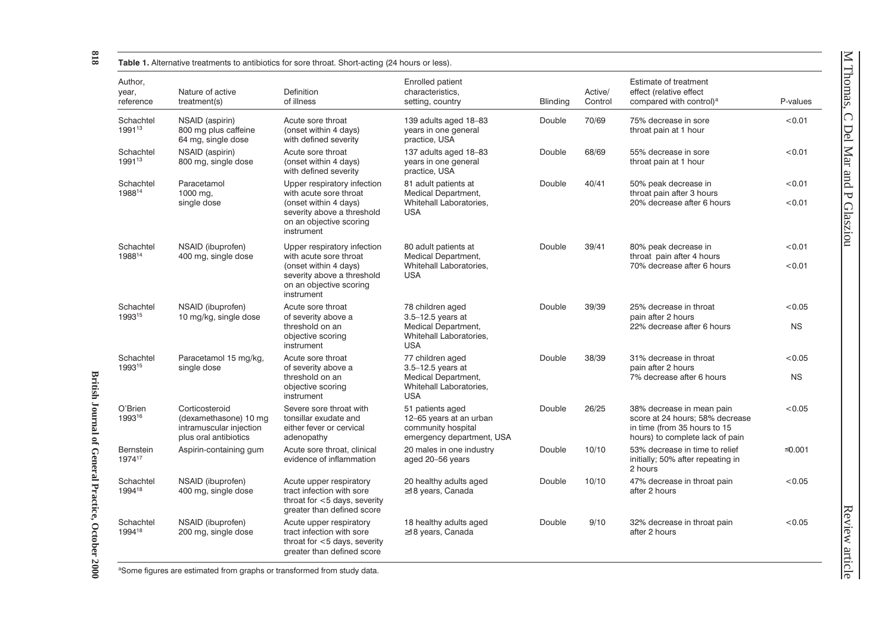| ١                     |
|-----------------------|
| ηTέ,<br>$\frac{8}{8}$ |
|                       |
|                       |
|                       |
|                       |
|                       |
|                       |
|                       |
|                       |
|                       |
|                       |
|                       |
|                       |
|                       |
|                       |
|                       |
|                       |
|                       |
|                       |
|                       |
|                       |
|                       |
|                       |
|                       |
|                       |
|                       |
|                       |
|                       |
|                       |
|                       |
|                       |
|                       |
|                       |
|                       |
|                       |
|                       |
|                       |
|                       |
|                       |
|                       |
|                       |
|                       |
|                       |
|                       |
|                       |
| J<br>Ç                |
| i                     |
| ļ.                    |
| 1                     |
|                       |
| I                     |
|                       |
|                       |
|                       |
| ĺ                     |
|                       |
| ļ                     |
| Į                     |
|                       |
|                       |
|                       |
| d                     |
| j                     |
|                       |
|                       |
|                       |
|                       |
| <b>October</b>        |
| ١                     |
|                       |
| $\overline{a}$        |
|                       |
|                       |
| $-2000$               |
|                       |
|                       |

British Journal of General Practice, October 2000

| Author,<br>year,<br>reference | Nature of active<br>treatment(s)                                                            | Definition<br>of illness                                                                                                                              | Enrolled patient<br>characteristics.<br>setting, country                                                     | <b>Blinding</b> | Active/<br>Control | Estimate of treatment<br>effect (relative effect<br>compared with control) <sup>a</sup>                                         | P-values            |
|-------------------------------|---------------------------------------------------------------------------------------------|-------------------------------------------------------------------------------------------------------------------------------------------------------|--------------------------------------------------------------------------------------------------------------|-----------------|--------------------|---------------------------------------------------------------------------------------------------------------------------------|---------------------|
| Schachtel<br>199113           | NSAID (aspirin)<br>800 mg plus caffeine<br>64 mg, single dose                               | Acute sore throat<br>(onset within 4 days)<br>with defined severity                                                                                   | 139 adults aged 18-83<br>years in one general<br>practice, USA                                               | Double          | 70/69              | 75% decrease in sore<br>throat pain at 1 hour                                                                                   | < 0.01              |
| Schachtel<br>199113           | NSAID (aspirin)<br>800 mg, single dose                                                      | Acute sore throat<br>(onset within 4 days)<br>with defined severity                                                                                   | 137 adults aged 18-83<br>years in one general<br>practice, USA                                               | Double          | 68/69              | 55% decrease in sore<br>throat pain at 1 hour                                                                                   | < 0.01              |
| Schachtel<br>198814           | Paracetamol<br>1000 mg,<br>single dose                                                      | Upper respiratory infection<br>with acute sore throat<br>(onset within 4 days)<br>severity above a threshold                                          | 81 adult patients at<br><b>Medical Department,</b><br>Whitehall Laboratories,<br><b>USA</b>                  | Double          | 40/41              | 50% peak decrease in<br>throat pain after 3 hours<br>20% decrease after 6 hours                                                 | < 0.01<br>< 0.01    |
|                               |                                                                                             | on an objective scoring<br>instrument                                                                                                                 |                                                                                                              |                 |                    |                                                                                                                                 |                     |
| Schachtel<br>198814           | NSAID (ibuprofen)<br>400 mg, single dose                                                    | Upper respiratory infection<br>with acute sore throat<br>(onset within 4 days)<br>severity above a threshold<br>on an objective scoring<br>instrument | 80 adult patients at<br><b>Medical Department,</b><br>Whitehall Laboratories,<br><b>USA</b>                  | Double          | 39/41              | 80% peak decrease in<br>throat pain after 4 hours<br>70% decrease after 6 hours                                                 | < 0.01<br>< 0.01    |
| Schachtel<br>199315           | NSAID (ibuprofen)<br>10 mg/kg, single dose                                                  | Acute sore throat<br>of severity above a<br>threshold on an<br>objective scoring<br>instrument                                                        | 78 children aged<br>3.5-12.5 years at<br><b>Medical Department,</b><br>Whitehall Laboratories.<br><b>USA</b> | Double          | 39/39              | 25% decrease in throat<br>pain after 2 hours<br>22% decrease after 6 hours                                                      | < 0.05<br><b>NS</b> |
| Schachtel<br>199315           | Paracetamol 15 mg/kg,<br>single dose                                                        | Acute sore throat<br>of severity above a<br>threshold on an<br>objective scoring<br>instrument                                                        | 77 children aged<br>3.5-12.5 years at<br>Medical Department,<br>Whitehall Laboratories,<br><b>USA</b>        | Double          | 38/39              | 31% decrease in throat<br>pain after 2 hours<br>7% decrease after 6 hours                                                       | < 0.05<br><b>NS</b> |
| O'Brien<br>199316             | Corticosteroid<br>(dexamethasone) 10 mg<br>intramuscular injection<br>plus oral antibiotics | Severe sore throat with<br>tonsillar exudate and<br>either fever or cervical<br>adenopathy                                                            | 51 patients aged<br>12-65 years at an urban<br>community hospital<br>emergency department, USA               | Double          | 26/25              | 38% decrease in mean pain<br>score at 24 hours; 58% decrease<br>in time (from 35 hours to 15<br>hours) to complete lack of pain | < 0.05              |
| <b>Bernstein</b><br>197417    | Aspirin-containing gum                                                                      | Acute sore throat, clinical<br>evidence of inflammation                                                                                               | 20 males in one industry<br>aged 20-56 years                                                                 | Double          | 10/10              | 53% decrease in time to relief<br>initially; 50% after repeating in<br>2 hours                                                  | ≤0.001              |
| Schachtel<br>199418           | NSAID (ibuprofen)<br>400 mg, single dose                                                    | Acute upper respiratory<br>tract infection with sore<br>throat for $<$ 5 days, severity<br>greater than defined score                                 | 20 healthy adults aged<br>≥18 years, Canada                                                                  | Double          | 10/10              | 47% decrease in throat pain<br>after 2 hours                                                                                    | < 0.05              |
| Schachtel<br>199418           | NSAID (ibuprofen)<br>200 mg, single dose                                                    | Acute upper respiratory<br>tract infection with sore<br>throat for $<$ 5 days, severity<br>greater than defined score                                 | 18 healthy adults aged<br>≥18 years, Canada                                                                  | Double          | 9/10               | 32% decrease in throat pain<br>after 2 hours                                                                                    | < 0.05              |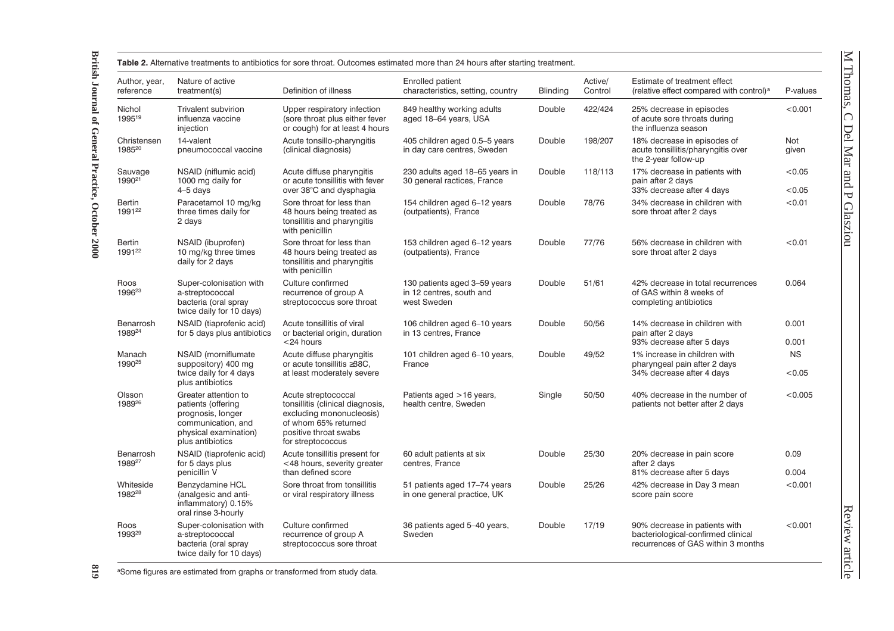| Author, year,<br>reference          | Nature of active<br>treatment(s)                                                                                                   | Definition of illness                                                                                                                                     | Enrolled patient<br>characteristics, setting, country                   | <b>Blinding</b> | Active/<br>Control | Estimate of treatment effect<br>(relative effect compared with control) <sup>a</sup>                      | P-values            |
|-------------------------------------|------------------------------------------------------------------------------------------------------------------------------------|-----------------------------------------------------------------------------------------------------------------------------------------------------------|-------------------------------------------------------------------------|-----------------|--------------------|-----------------------------------------------------------------------------------------------------------|---------------------|
| Nichol<br>199519                    | <b>Trivalent subvirion</b><br>influenza vaccine<br>injection                                                                       | Upper respiratory infection<br>(sore throat plus either fever<br>or cough) for at least 4 hours                                                           | 849 healthy working adults<br>aged 18-64 years, USA                     | Double          | 422/424            | 25% decrease in episodes<br>of acute sore throats during<br>the influenza season                          | < 0.001             |
| Christensen<br>198520               | 14-valent<br>pneumococcal vaccine                                                                                                  | Acute tonsillo-pharyngitis<br>(clinical diagnosis)                                                                                                        | 405 children aged 0.5-5 years<br>in day care centres, Sweden            | Double          | 198/207            | 18% decrease in episodes of<br>acute tonsillitis/pharyngitis over<br>the 2-year follow-up                 | <b>Not</b><br>given |
| Sauvage<br>1990 <sup>21</sup>       | NSAID (niflumic acid)<br>1000 mg daily for<br>$4-5$ days                                                                           | Acute diffuse pharyngitis<br>or acute tonsillitis with fever<br>over 38°C and dysphagia                                                                   | 230 adults aged 18-65 years in<br>30 general ractices, France           | Double          | 118/113            | 17% decrease in patients with<br>pain after 2 days<br>33% decrease after 4 days                           | < 0.05<br>< 0.05    |
| Bertin<br>199122                    | Paracetamol 10 mg/kg<br>three times daily for<br>2 days                                                                            | Sore throat for less than<br>48 hours being treated as<br>tonsillitis and pharyngitis<br>with penicillin                                                  | 154 children aged 6-12 years<br>(outpatients), France                   | Double          | 78/76              | 34% decrease in children with<br>sore throat after 2 days                                                 | < 0.01              |
| <b>Bertin</b><br>1991 <sup>22</sup> | NSAID (ibuprofen)<br>10 mg/kg three times<br>daily for 2 days                                                                      | Sore throat for less than<br>48 hours being treated as<br>tonsillitis and pharyngitis<br>with penicillin                                                  | 153 children aged 6-12 years<br>(outpatients), France                   | Double          | 77/76              | 56% decrease in children with<br>sore throat after 2 days                                                 | < 0.01              |
| Roos<br>1996 <sup>23</sup>          | Super-colonisation with<br>a-streptococcal<br>bacteria (oral spray<br>twice daily for 10 days)                                     | Culture confirmed<br>recurrence of group A<br>streptococcus sore throat                                                                                   | 130 patients aged 3-59 years<br>in 12 centres, south and<br>west Sweden | Double          | 51/61              | 42% decrease in total recurrences<br>of GAS within 8 weeks of<br>completing antibiotics                   | 0.064               |
| Benarrosh<br>198924                 | NSAID (tiaprofenic acid)<br>for 5 days plus antibiotics                                                                            | Acute tonsillitis of viral<br>or bacterial origin, duration<br><24 hours                                                                                  | 106 children aged 6-10 years<br>in 13 centres, France                   | Double          | 50/56              | 14% decrease in children with<br>pain after 2 days<br>93% decrease after 5 days                           | 0.001<br>0.001      |
| Manach<br>1990 <sup>25</sup>        | NSAID (morniflumate<br>suppository) 400 mg<br>twice daily for 4 days<br>plus antibiotics                                           | Acute diffuse pharyngitis<br>or acute tonsillitis ≥38C.<br>at least moderately severe                                                                     | 101 children aged 6-10 years,<br>France                                 | Double          | 49/52              | 1% increase in children with<br>pharyngeal pain after 2 days<br>34% decrease after 4 days                 | <b>NS</b><br>< 0.05 |
| Olsson<br>198926                    | Greater attention to<br>patients (offering<br>prognosis, longer<br>communication, and<br>physical examination)<br>plus antibiotics | Acute streptococcal<br>tonsillitis (clinical diagnosis,<br>excluding mononucleosis)<br>of whom 65% returned<br>positive throat swabs<br>for streptococcus | Patients aged >16 years,<br>health centre, Sweden                       | Single          | 50/50              | 40% decrease in the number of<br>patients not better after 2 days                                         | < 0.005             |
| Benarrosh<br>198927                 | NSAID (tiaprofenic acid)<br>for 5 days plus<br>penicillin V                                                                        | Acute tonsillitis present for<br><48 hours, severity greater<br>than defined score                                                                        | 60 adult patients at six<br>centres, France                             | Double          | 25/30              | 20% decrease in pain score<br>after 2 days<br>81% decrease after 5 days                                   | 0.09<br>0.004       |
| Whiteside<br>198228                 | Benzydamine HCL<br>(analgesic and anti-<br>inflammatory) 0.15%<br>oral rinse 3-hourly                                              | Sore throat from tonsillitis<br>or viral respiratory illness                                                                                              | 51 patients aged 17-74 years<br>in one general practice, UK             | Double          | 25/26              | 42% decrease in Day 3 mean<br>score pain score                                                            | < 0.001             |
| Roos<br>199329                      | Super-colonisation with<br>a-streptococcal<br>bacteria (oral spray<br>twice daily for 10 days)                                     | Culture confirmed<br>recurrence of group A<br>streptococcus sore throat                                                                                   | 36 patients aged 5-40 years,<br>Sweden                                  | Double          | 17/19              | 90% decrease in patients with<br>bacteriological-confirmed clinical<br>recurrences of GAS within 3 months | < 0.001             |

618 aSome figures are estimated from graphs or transformed from study data.